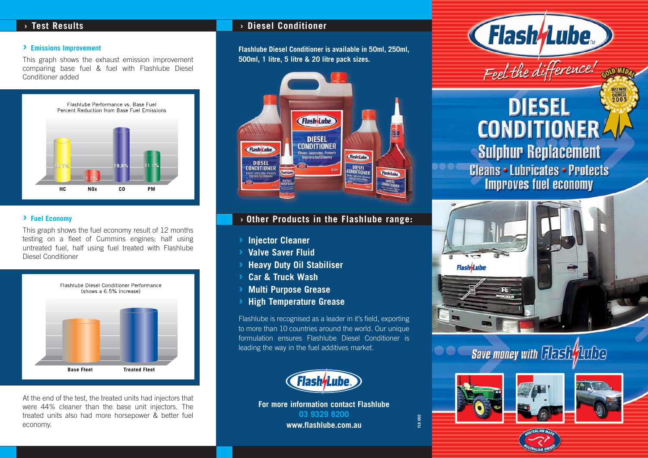### **› Emissions Improvement**

This graph shows the exhaust emission improvement comparing base fuel & fuel with Flashlube Diesel Conditioner added



### **› Fuel Economy**

This graph shows the fuel economy result of 12 months testing on a fleet of Cummins engines; half using untreated fuel, half using fuel treated with Flashlube Diesel Conditioner



At the end of the test, the treated units had injectors that were 44% cleaner than the base unit injectors. The treated units also had more horsepower & better fuel economy.

# **› Test Results › Diesel Conditioner**

**Flashlube Diesel Conditioner is available in 50ml, 250ml, 500ml, 1 litre, 5 litre & 20 litre pack sizes.**



# **› Other Products in the Flashlube range:**

- **› Injector Cleaner**
- **› Valve Saver Fluid**
- **› Heavy Duty Oil Stabiliser**
- **› Car & Truck Wash**
- **› Multi Purpose Grease**
- **› High Temperature Grease**

Flashlube is recognised as a leader in it's field, exporting to more than 10 countries around the world. Our unique formulation ensures Flashlube Diesel Conditioner is leading the way in the fuel additives market.



**For more information contact Flashlube 03 9329 8200 www.flashlube.com.au**

**Flash/Lube** Feel the difference! SOD MED

# **BEST NEW**<br>CHEMICAL **DIESEL CONDITIONER Sulphur Replacement**

**Cleans • Lubricates • Protects Improves fuel economy** 



### $\bullet\bullet\textsf{C}$ **Save money with Flash Author**



**FLD 002**